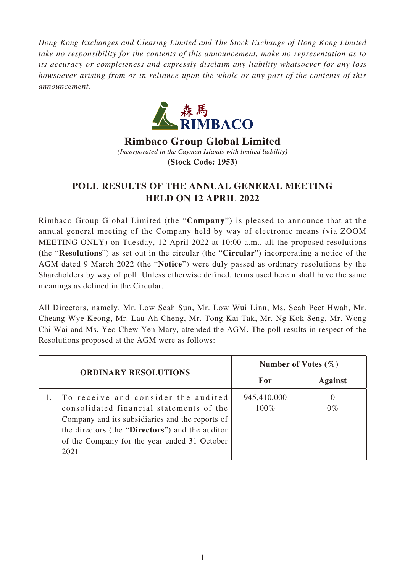*Hong Kong Exchanges and Clearing Limited and The Stock Exchange of Hong Kong Limited take no responsibility for the contents of this announcement, make no representation as to its accuracy or completeness and expressly disclaim any liability whatsoever for any loss howsoever arising from or in reliance upon the whole or any part of the contents of this announcement.*



**Rimbaco Group Global Limited** (Incorporated in the Cayman Islands with limited liability) (Stock Code: 1953)

## **POLL RESULTS OF THE ANNUAL GENERAL MEETING HELD ON 12 APRIL 2022**

Rimbaco Group Global Limited (the "**Company**") is pleased to announce that at the annual general meeting of the Company held by way of electronic means (via ZOOM MEETING ONLY) on Tuesday, 12 April 2022 at 10:00 a.m., all the proposed resolutions (the "**Resolutions**") as set out in the circular (the "**Circular**") incorporating a notice of the AGM dated 9 March 2022 (the "**Notice**") were duly passed as ordinary resolutions by the Shareholders by way of poll. Unless otherwise defined, terms used herein shall have the same meanings as defined in the Circular.

All Directors, namely, Mr. Low Seah Sun, Mr. Low Wui Linn, Ms. Seah Peet Hwah, Mr. Cheang Wye Keong, Mr. Lau Ah Cheng, Mr. Tong Kai Tak, Mr. Ng Kok Seng, Mr. Wong Chi Wai and Ms. Yeo Chew Yen Mary, attended the AGM. The poll results in respect of the Resolutions proposed at the AGM were as follows:

| <b>ORDINARY RESOLUTIONS</b> |                                                                                                                                                                                                                                               | Number of Votes $(\% )$ |                |
|-----------------------------|-----------------------------------------------------------------------------------------------------------------------------------------------------------------------------------------------------------------------------------------------|-------------------------|----------------|
|                             |                                                                                                                                                                                                                                               | For                     | <b>Against</b> |
|                             | To receive and consider the audited<br>consolidated financial statements of the<br>Company and its subsidiaries and the reports of<br>the directors (the "Directors") and the auditor<br>of the Company for the year ended 31 October<br>2021 | 945,410,000<br>100%     | $0\%$          |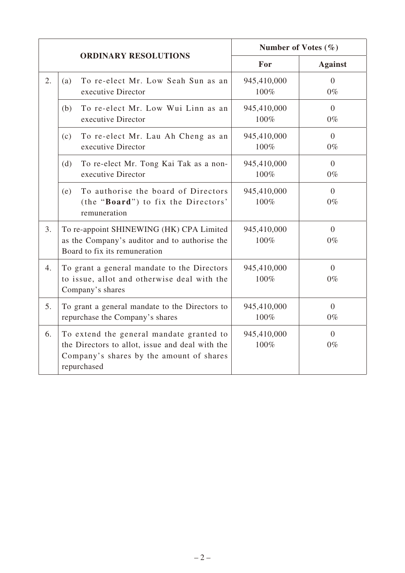|    |                                                                                                                                                        | Number of Votes $(\% )$ |                         |
|----|--------------------------------------------------------------------------------------------------------------------------------------------------------|-------------------------|-------------------------|
|    | <b>ORDINARY RESOLUTIONS</b>                                                                                                                            | For                     | <b>Against</b>          |
| 2. | To re-elect Mr. Low Seah Sun as an<br>(a)<br>executive Director                                                                                        | 945,410,000<br>100%     | $\Omega$<br>$0\%$       |
|    | To re-elect Mr. Low Wui Linn as an<br>(b)<br>executive Director                                                                                        | 945,410,000<br>100%     | $\Omega$<br>$0\%$       |
|    | To re-elect Mr. Lau Ah Cheng as an<br>(c)<br>executive Director                                                                                        | 945,410,000<br>100%     | $\Omega$<br>$0\%$       |
|    | To re-elect Mr. Tong Kai Tak as a non-<br>(d)<br>executive Director                                                                                    | 945,410,000<br>100%     | $\Omega$<br>$0\%$       |
|    | To authorise the board of Directors<br>(e)<br>(the "Board") to fix the Directors'<br>remuneration                                                      | 945,410,000<br>100%     | $\Omega$<br>$0\%$       |
| 3. | To re-appoint SHINEWING (HK) CPA Limited<br>as the Company's auditor and to authorise the<br>Board to fix its remuneration                             | 945,410,000<br>100%     | $\Omega$<br>$0\%$       |
| 4. | To grant a general mandate to the Directors<br>to issue, allot and otherwise deal with the<br>Company's shares                                         | 945,410,000<br>100%     | $\overline{0}$<br>$0\%$ |
| 5. | To grant a general mandate to the Directors to<br>repurchase the Company's shares                                                                      | 945,410,000<br>100%     | $\overline{0}$<br>$0\%$ |
| 6. | To extend the general mandate granted to<br>the Directors to allot, issue and deal with the<br>Company's shares by the amount of shares<br>repurchased | 945,410,000<br>100%     | $\Omega$<br>$0\%$       |